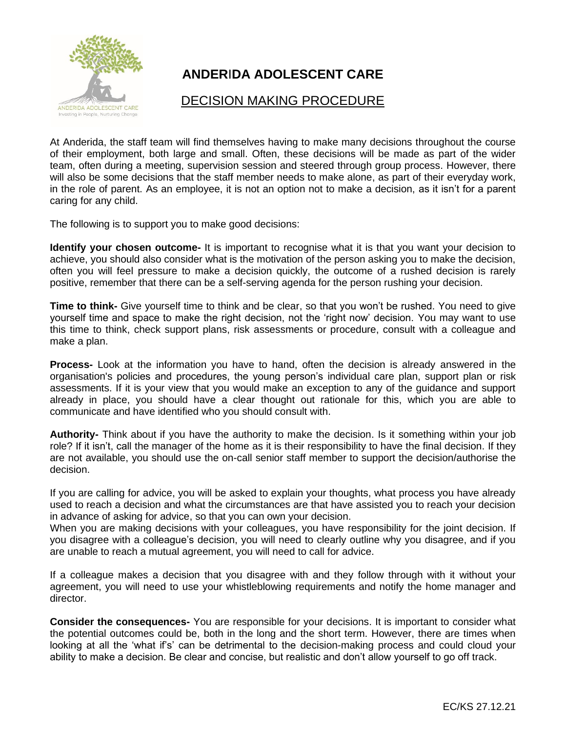

## **ANDER**I**DA ADOLESCENT CARE**

## DECISION MAKING PROCEDURE

At Anderida, the staff team will find themselves having to make many decisions throughout the course of their employment, both large and small. Often, these decisions will be made as part of the wider team, often during a meeting, supervision session and steered through group process. However, there will also be some decisions that the staff member needs to make alone, as part of their everyday work, in the role of parent. As an employee, it is not an option not to make a decision, as it isn't for a parent caring for any child.

The following is to support you to make good decisions:

**Identify your chosen outcome-** It is important to recognise what it is that you want your decision to achieve, you should also consider what is the motivation of the person asking you to make the decision, often you will feel pressure to make a decision quickly, the outcome of a rushed decision is rarely positive, remember that there can be a self-serving agenda for the person rushing your decision.

**Time to think-** Give yourself time to think and be clear, so that you won't be rushed. You need to give yourself time and space to make the right decision, not the 'right now' decision. You may want to use this time to think, check support plans, risk assessments or procedure, consult with a colleague and make a plan.

**Process-** Look at the information you have to hand, often the decision is already answered in the organisation's policies and procedures, the young person's individual care plan, support plan or risk assessments. If it is your view that you would make an exception to any of the guidance and support already in place, you should have a clear thought out rationale for this, which you are able to communicate and have identified who you should consult with.

**Authority-** Think about if you have the authority to make the decision. Is it something within your job role? If it isn't, call the manager of the home as it is their responsibility to have the final decision. If they are not available, you should use the on-call senior staff member to support the decision/authorise the decision.

If you are calling for advice, you will be asked to explain your thoughts, what process you have already used to reach a decision and what the circumstances are that have assisted you to reach your decision in advance of asking for advice, so that you can own your decision.

When you are making decisions with your colleagues, you have responsibility for the joint decision. If you disagree with a colleague's decision, you will need to clearly outline why you disagree, and if you are unable to reach a mutual agreement, you will need to call for advice.

If a colleague makes a decision that you disagree with and they follow through with it without your agreement, you will need to use your whistleblowing requirements and notify the home manager and director.

**Consider the consequences-** You are responsible for your decisions. It is important to consider what the potential outcomes could be, both in the long and the short term. However, there are times when looking at all the 'what if's' can be detrimental to the decision-making process and could cloud your ability to make a decision. Be clear and concise, but realistic and don't allow yourself to go off track.